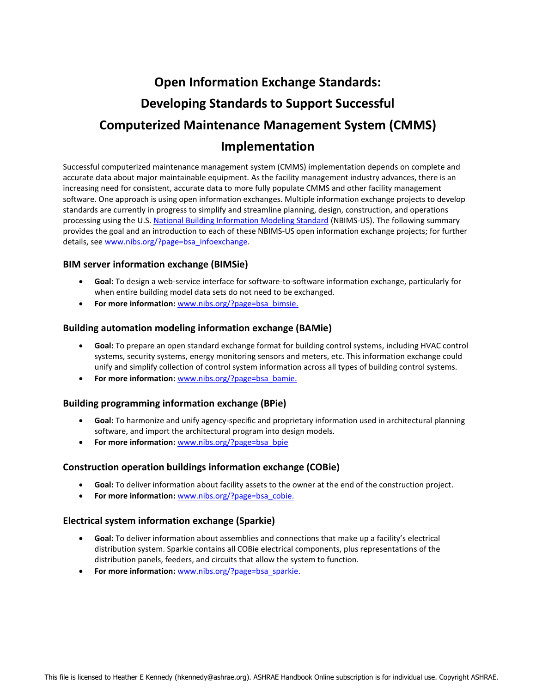# **Open Information Exchange Standards: Developing Standards to Support Successful Computerized Maintenance Management System (CMMS) Implementation**

Successful computerized maintenance management system (CMMS) implementation depends on complete and accurate data about major maintainable equipment. As the facility management industry advances, there is an increasing need for consistent, accurate data to more fully populate CMMS and other facility management software. One approach is using open information exchanges. Multiple information exchange projects to develop standards are currently in progress to simplify and streamline planning, design, construction, and operations processing using the U.S. [National Building Information Modeling Standard](http://www.nationalbimstandard.org/) (NBIMS-US). The following summary provides the goal and an introduction to each of these NBIMS-US open information exchange projects; for further details, see [www.nibs.org/?page=bsa\\_infoexchange.](http://www.nibs.org/?page=bsa_infoexchange)

## **BIM server information exchange (BIMSie)**

- **Goal:** To design a web-service interface for software-to-software information exchange, particularly for when entire building model data sets do not need to be exchanged.
- **For more information:** [www.nibs.org/?page=bsa\\_bimsie.](http://www.nibs.org/?page=bsa_bimsie)

## **Building automation modeling information exchange (BAMie)**

- **Goal:** To prepare an open standard exchange format for building control systems, including HVAC control systems, security systems, energy monitoring sensors and meters, etc. This information exchange could unify and simplify collection of control system information across all types of building control systems.
- **For more information:** [www.nibs.org/?page=bsa\\_bamie.](http://www.nibs.org/?page=bsa_bamie)

#### **Building programming information exchange (BPie)**

- **Goal:** To harmonize and unify agency-specific and proprietary information used in architectural planning software, and import the architectural program into design models.
- **•** For more information: [www.nibs.org/?page=bsa\\_bpie](http://www.nibs.org/?page=bsa_bpie)

#### **Construction operation buildings information exchange (COBie)**

- **Goal:** To deliver information about facility assets to the owner at the end of the construction project.
- For more information: [www.nibs.org/?page=bsa\\_cobie.](http://www.nibs.org/?page=bsa_cobie)

#### **Electrical system information exchange (Sparkie)**

- **Goal:** To deliver information about assemblies and connections that make up a facility's electrical distribution system. Sparkie contains all COBie electrical components, plus representations of the distribution panels, feeders, and circuits that allow the system to function.
- **For more information:** [www.nibs.org/?page=bsa\\_sparkie.](http://www.nibs.org/?page=bsa_sparkie)